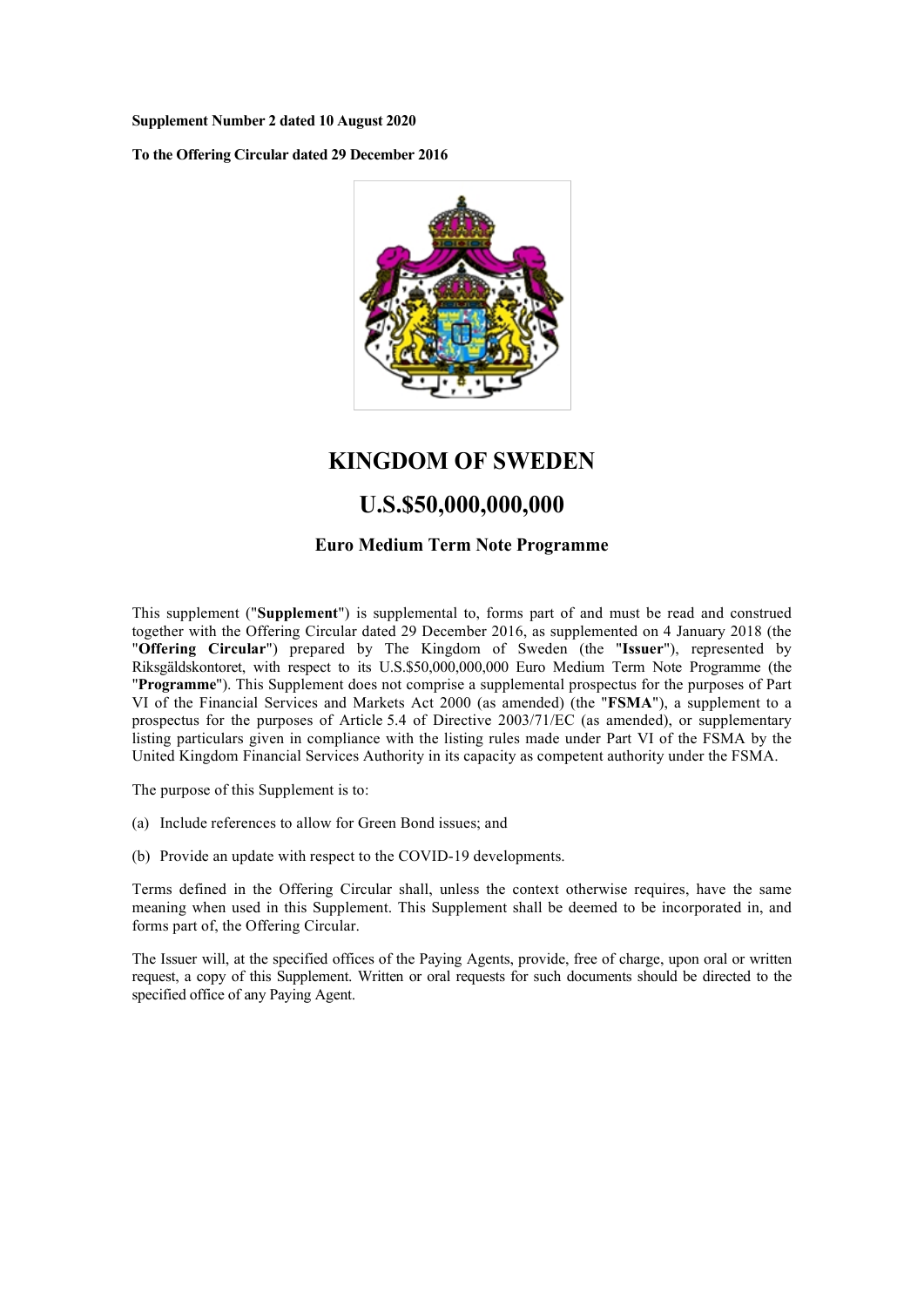**Supplement Number 2 dated 10 August 2020**

**To the Offering Circular dated 29 December 2016**



# **KINGDOM OF SWEDEN**

# **U.S.\$50,000,000,000**

## **Euro Medium Term Note Programme**

This supplement ("**Supplement**") is supplemental to, forms part of and must be read and construed together with the Offering Circular dated 29 December 2016, as supplemented on 4 January 2018 (the "**Offering Circular**") prepared by The Kingdom of Sweden (the "**Issuer**"), represented by Riksgäldskontoret, with respect to its U.S.\$50,000,000,000 Euro Medium Term Note Programme (the "**Programme**"). This Supplement does not comprise a supplemental prospectus for the purposes of Part VI of the Financial Services and Markets Act 2000 (as amended) (the "**FSMA**"), a supplement to a prospectus for the purposes of Article 5.4 of Directive 2003/71/EC (as amended), or supplementary listing particulars given in compliance with the listing rules made under Part VI of the FSMA by the United Kingdom Financial Services Authority in its capacity as competent authority under the FSMA.

The purpose of this Supplement is to:

- (a) Include references to allow for Green Bond issues; and
- (b) Provide an update with respect to the COVID-19 developments.

Terms defined in the Offering Circular shall, unless the context otherwise requires, have the same meaning when used in this Supplement. This Supplement shall be deemed to be incorporated in, and forms part of, the Offering Circular.

The Issuer will, at the specified offices of the Paying Agents, provide, free of charge, upon oral or written request, a copy of this Supplement. Written or oral requests for such documents should be directed to the specified office of any Paying Agent.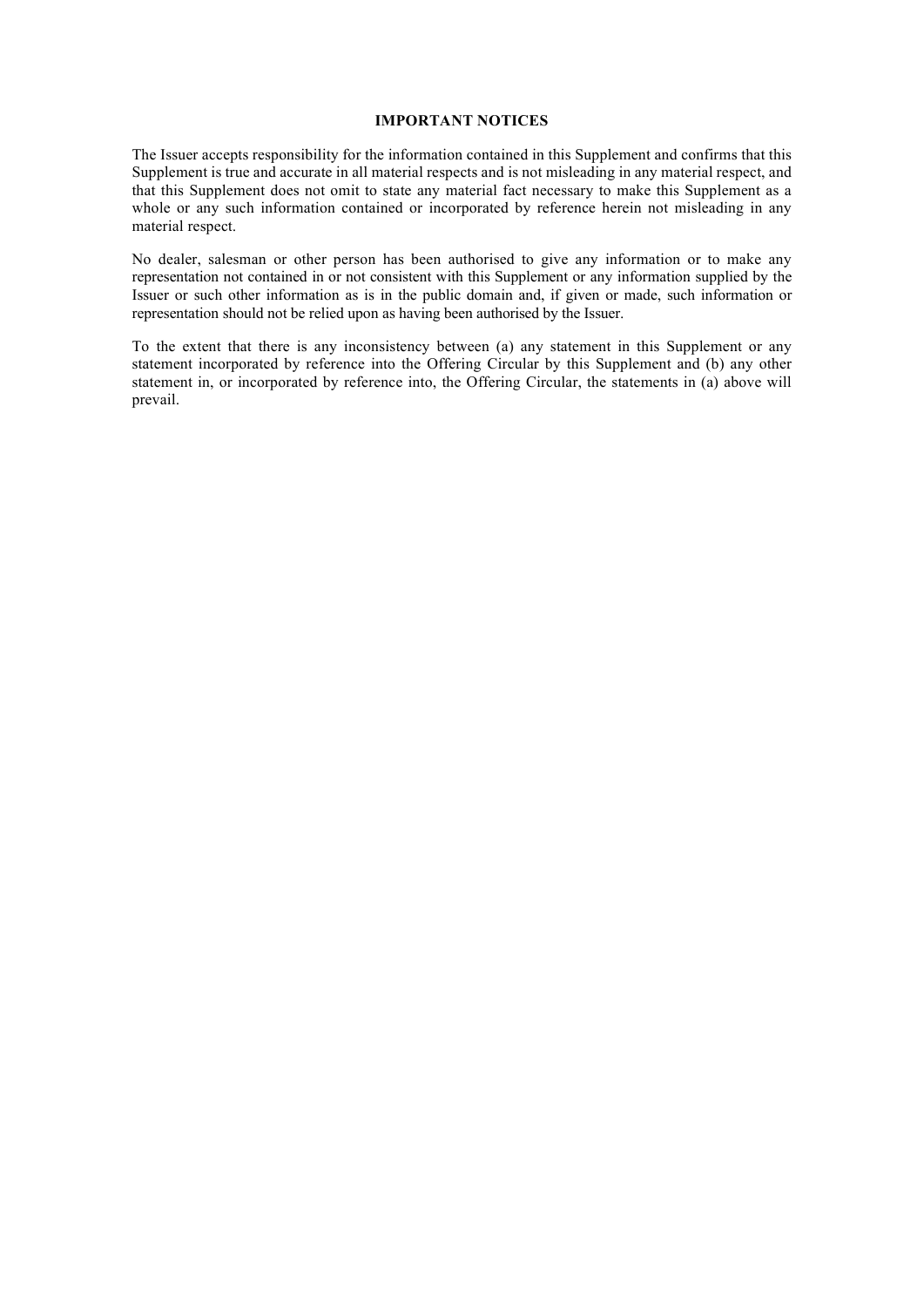#### **IMPORTANT NOTICES**

The Issuer accepts responsibility for the information contained in this Supplement and confirms that this Supplement is true and accurate in all material respects and is not misleading in any material respect, and that this Supplement does not omit to state any material fact necessary to make this Supplement as a whole or any such information contained or incorporated by reference herein not misleading in any material respect.

No dealer, salesman or other person has been authorised to give any information or to make any representation not contained in or not consistent with this Supplement or any information supplied by the Issuer or such other information as is in the public domain and, if given or made, such information or representation should not be relied upon as having been authorised by the Issuer.

To the extent that there is any inconsistency between (a) any statement in this Supplement or any statement incorporated by reference into the Offering Circular by this Supplement and (b) any other statement in, or incorporated by reference into, the Offering Circular, the statements in (a) above will prevail.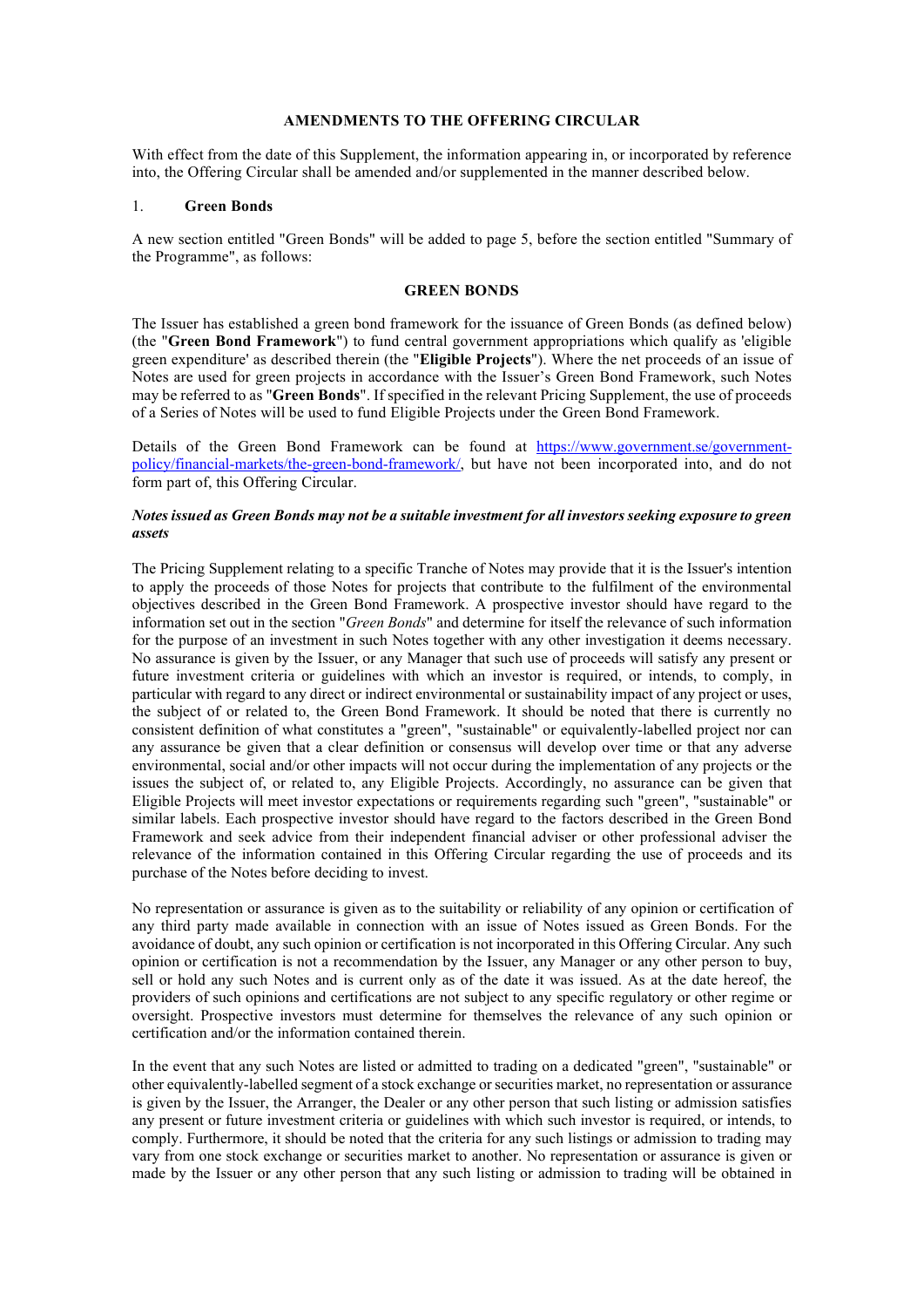## **AMENDMENTS TO THE OFFERING CIRCULAR**

With effect from the date of this Supplement, the information appearing in, or incorporated by reference into, the Offering Circular shall be amended and/or supplemented in the manner described below.

## 1. **Green Bonds**

A new section entitled "Green Bonds" will be added to page 5, before the section entitled "Summary of the Programme", as follows:

#### **GREEN BONDS**

The Issuer has established a green bond framework for the issuance of Green Bonds (as defined below) (the "**Green Bond Framework**") to fund central government appropriations which qualify as 'eligible green expenditure' as described therein (the "**Eligible Projects**"). Where the net proceeds of an issue of Notes are used for green projects in accordance with the Issuer's Green Bond Framework, such Notes may be referred to as "**Green Bonds**". If specified in the relevant Pricing Supplement, the use of proceeds of a Series of Notes will be used to fund Eligible Projects under the Green Bond Framework.

Details of the Green Bond Framework can be found at [https://www.government.se/government](https://www.government.se/government-policy/financial-markets/the-green-bond-framework/)[policy/financial-markets/the-green-bond-framework/,](https://www.government.se/government-policy/financial-markets/the-green-bond-framework/) but have not been incorporated into, and do not form part of, this Offering Circular.

#### *Notes issued as Green Bonds may not be a suitable investment for all investors seeking exposure to green assets*

The Pricing Supplement relating to a specific Tranche of Notes may provide that it is the Issuer's intention to apply the proceeds of those Notes for projects that contribute to the fulfilment of the environmental objectives described in the Green Bond Framework. A prospective investor should have regard to the information set out in the section "*Green Bonds*" and determine for itself the relevance of such information for the purpose of an investment in such Notes together with any other investigation it deems necessary. No assurance is given by the Issuer, or any Manager that such use of proceeds will satisfy any present or future investment criteria or guidelines with which an investor is required, or intends, to comply, in particular with regard to any direct or indirect environmental or sustainability impact of any project or uses, the subject of or related to, the Green Bond Framework. It should be noted that there is currently no consistent definition of what constitutes a "green", "sustainable" or equivalently-labelled project nor can any assurance be given that a clear definition or consensus will develop over time or that any adverse environmental, social and/or other impacts will not occur during the implementation of any projects or the issues the subject of, or related to, any Eligible Projects. Accordingly, no assurance can be given that Eligible Projects will meet investor expectations or requirements regarding such "green", "sustainable" or similar labels. Each prospective investor should have regard to the factors described in the Green Bond Framework and seek advice from their independent financial adviser or other professional adviser the relevance of the information contained in this Offering Circular regarding the use of proceeds and its purchase of the Notes before deciding to invest.

No representation or assurance is given as to the suitability or reliability of any opinion or certification of any third party made available in connection with an issue of Notes issued as Green Bonds. For the avoidance of doubt, any such opinion or certification is not incorporated in this Offering Circular. Any such opinion or certification is not a recommendation by the Issuer, any Manager or any other person to buy, sell or hold any such Notes and is current only as of the date it was issued. As at the date hereof, the providers of such opinions and certifications are not subject to any specific regulatory or other regime or oversight. Prospective investors must determine for themselves the relevance of any such opinion or certification and/or the information contained therein.

In the event that any such Notes are listed or admitted to trading on a dedicated "green", "sustainable" or other equivalently-labelled segment of a stock exchange or securities market, no representation or assurance is given by the Issuer, the Arranger, the Dealer or any other person that such listing or admission satisfies any present or future investment criteria or guidelines with which such investor is required, or intends, to comply. Furthermore, it should be noted that the criteria for any such listings or admission to trading may vary from one stock exchange or securities market to another. No representation or assurance is given or made by the Issuer or any other person that any such listing or admission to trading will be obtained in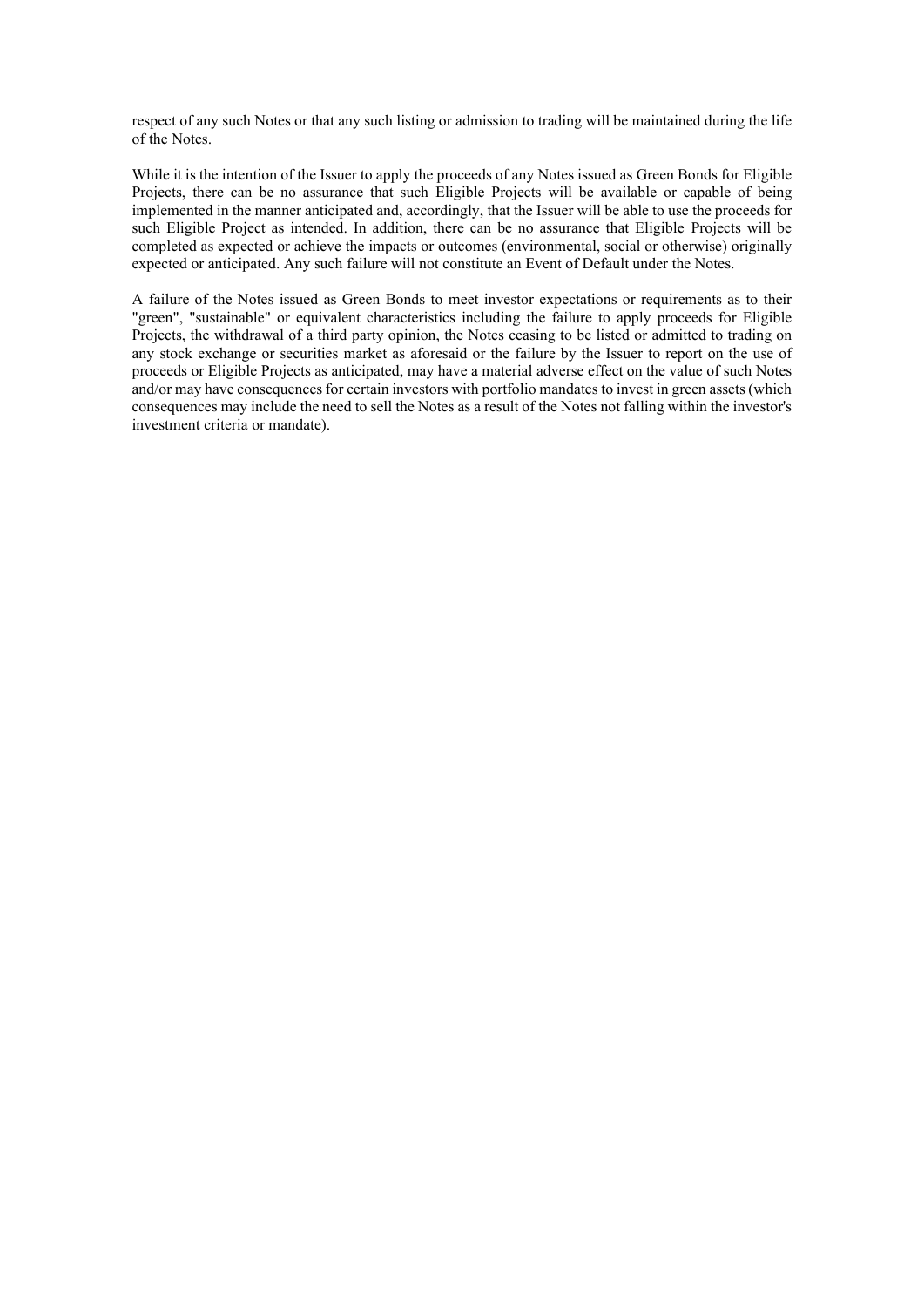respect of any such Notes or that any such listing or admission to trading will be maintained during the life of the Notes.

While it is the intention of the Issuer to apply the proceeds of any Notes issued as Green Bonds for Eligible Projects, there can be no assurance that such Eligible Projects will be available or capable of being implemented in the manner anticipated and, accordingly, that the Issuer will be able to use the proceeds for such Eligible Project as intended. In addition, there can be no assurance that Eligible Projects will be completed as expected or achieve the impacts or outcomes (environmental, social or otherwise) originally expected or anticipated. Any such failure will not constitute an Event of Default under the Notes.

A failure of the Notes issued as Green Bonds to meet investor expectations or requirements as to their "green", "sustainable" or equivalent characteristics including the failure to apply proceeds for Eligible Projects, the withdrawal of a third party opinion, the Notes ceasing to be listed or admitted to trading on any stock exchange or securities market as aforesaid or the failure by the Issuer to report on the use of proceeds or Eligible Projects as anticipated, may have a material adverse effect on the value of such Notes and/or may have consequences for certain investors with portfolio mandates to invest in green assets (which consequences may include the need to sell the Notes as a result of the Notes not falling within the investor's investment criteria or mandate).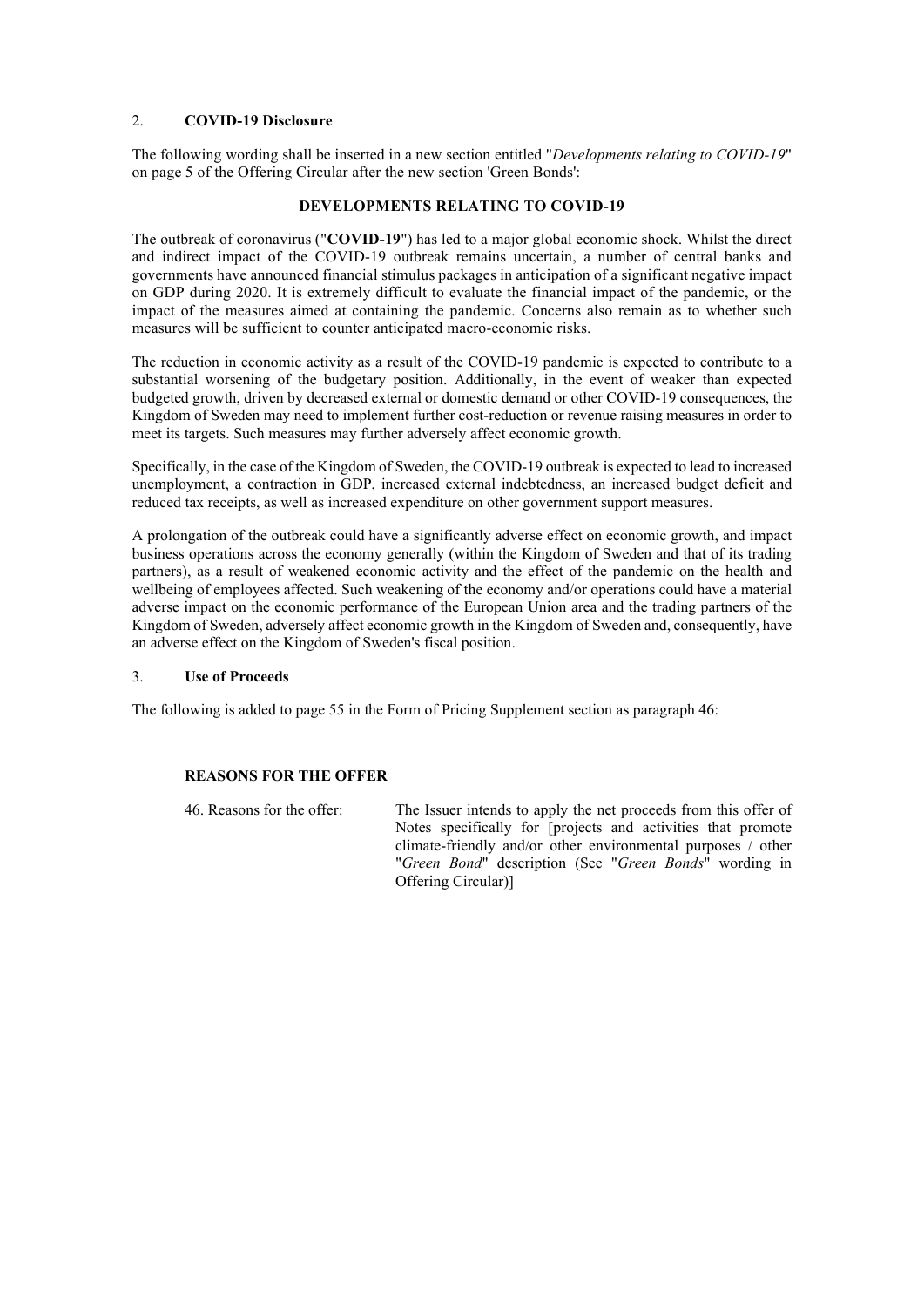## 2. **COVID-19 Disclosure**

The following wording shall be inserted in a new section entitled "*Developments relating to COVID-19*" on page 5 of the Offering Circular after the new section 'Green Bonds':

## **DEVELOPMENTS RELATING TO COVID-19**

The outbreak of coronavirus ("**COVID-19**") has led to a major global economic shock. Whilst the direct and indirect impact of the COVID-19 outbreak remains uncertain, a number of central banks and governments have announced financial stimulus packages in anticipation of a significant negative impact on GDP during 2020. It is extremely difficult to evaluate the financial impact of the pandemic, or the impact of the measures aimed at containing the pandemic. Concerns also remain as to whether such measures will be sufficient to counter anticipated macro-economic risks.

The reduction in economic activity as a result of the COVID-19 pandemic is expected to contribute to a substantial worsening of the budgetary position. Additionally, in the event of weaker than expected budgeted growth, driven by decreased external or domestic demand or other COVID-19 consequences, the Kingdom of Sweden may need to implement further cost-reduction or revenue raising measures in order to meet its targets. Such measures may further adversely affect economic growth.

Specifically, in the case of the Kingdom of Sweden, the COVID-19 outbreak is expected to lead to increased unemployment, a contraction in GDP, increased external indebtedness, an increased budget deficit and reduced tax receipts, as well as increased expenditure on other government support measures.

A prolongation of the outbreak could have a significantly adverse effect on economic growth, and impact business operations across the economy generally (within the Kingdom of Sweden and that of its trading partners), as a result of weakened economic activity and the effect of the pandemic on the health and wellbeing of employees affected. Such weakening of the economy and/or operations could have a material adverse impact on the economic performance of the European Union area and the trading partners of the Kingdom of Sweden, adversely affect economic growth in the Kingdom of Sweden and, consequently, have an adverse effect on the Kingdom of Sweden's fiscal position.

## 3. **Use of Proceeds**

The following is added to page 55 in the Form of Pricing Supplement section as paragraph 46:

## **REASONS FOR THE OFFER**

46. Reasons for the offer: The Issuer intends to apply the net proceeds from this offer of Notes specifically for [projects and activities that promote climate-friendly and/or other environmental purposes / other "*Green Bond*" description (See "*Green Bonds*" wording in Offering Circular)]